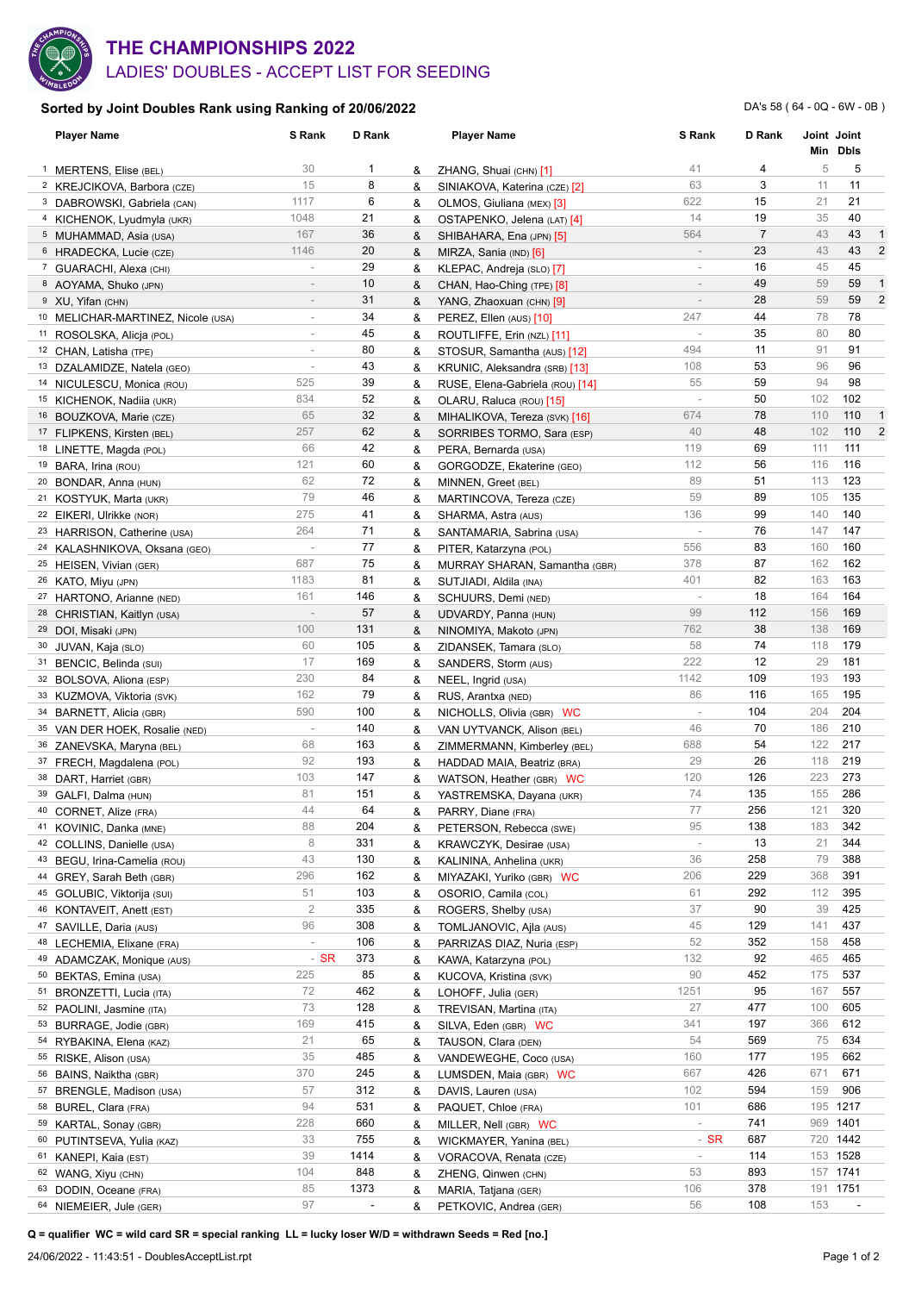

## LADIES' DOUBLES - ACCEPT LIST FOR SEEDING **THE CHAMPIONSHIPS 2022**

## **Sorted by Joint Doubles Rank using Ranking of 20/06/2022**

DA's 58 ( 64 - 0Q - 6W - 0B )

|    | <b>Player Name</b>                                    | S Rank                   | D Rank                           |        | <b>Player Name</b>                                     | S Rank                   | D Rank         |     | Joint Joint   |                |
|----|-------------------------------------------------------|--------------------------|----------------------------------|--------|--------------------------------------------------------|--------------------------|----------------|-----|---------------|----------------|
|    |                                                       | 30                       | 1                                |        |                                                        | 41                       | 4              | 5   | Min Dbls<br>5 |                |
|    | <sup>1</sup> MERTENS, Elise (BEL)                     | 15                       | 8                                | &      | ZHANG, Shuai (CHN) [1]                                 | 63                       | 3              | 11  | 11            |                |
|    | <sup>2</sup> KREJCIKOVA, Barbora (CZE)                | 1117                     | 6                                | &      | SINIAKOVA, Katerina (CZE) [2]                          | 622                      | 15             | 21  | 21            |                |
|    | <sup>3</sup> DABROWSKI, Gabriela (CAN)                | 1048                     | 21                               | &<br>& | OLMOS, Giuliana (MEX) [3]                              | 14                       | 19             | 35  | 40            |                |
|    | 4 KICHENOK, Lyudmyla (UKR)                            | 167                      | 36                               | &      | OSTAPENKO, Jelena (LAT) [4]                            | 564                      | $\overline{7}$ | 43  | 43            | $\mathbf{1}$   |
|    | 5 MUHAMMAD, Asia (USA)                                | 1146                     | 20                               |        | SHIBAHARA, Ena (JPN) [5]                               | $\bar{a}$                | 23             | 43  | 43            | $\overline{2}$ |
|    | 6 HRADECKA, Lucie (CZE)                               | $\overline{\phantom{a}}$ | 29                               | &      | MIRZA, Sania (IND) [6]                                 | ÷                        | 16             | 45  | 45            |                |
|    | <sup>7</sup> GUARACHI, Alexa (CHI)                    | $\sim$                   | 10                               | &<br>& | KLEPAC, Andreja (SLO) [7]<br>CHAN, Hao-Ching (TPE) [8] | ÷                        | 49             | 59  | 59            | $\mathbf{1}$   |
|    | 8 AOYAMA, Shuko (JPN)<br><sup>9</sup> XU, Yifan (CHN) | $\overline{\phantom{a}}$ | 31                               | &      | YANG, Zhaoxuan (CHN) [9]                               | $\overline{\phantom{a}}$ | 28             | 59  | 59            | $\overline{2}$ |
|    | 10 MELICHAR-MARTINEZ, Nicole (USA)                    | $\overline{\phantom{a}}$ | 34                               | &      | PEREZ, Ellen (AUS) [10]                                | 247                      | 44             | 78  | 78            |                |
|    | 11 ROSOLSKA, Alicja (POL)                             | $\overline{\phantom{a}}$ | 45                               | &      | ROUTLIFFE, Erin (NZL) [11]                             | $\overline{\phantom{a}}$ | 35             | 80  | 80            |                |
|    | 12 CHAN, Latisha (TPE)                                | $\sim$                   | 80                               | &      | STOSUR, Samantha (AUS) [12]                            | 494                      | 11             | 91  | 91            |                |
|    | 13 DZALAMIDZE, Natela (GEO)                           | $\overline{\phantom{a}}$ | 43                               | &      | KRUNIC, Aleksandra (SRB) [13]                          | 108                      | 53             | 96  | 96            |                |
|    | 14 NICULESCU, Monica (ROU)                            | 525                      | 39                               | &      | RUSE, Elena-Gabriela (ROU) [14]                        | 55                       | 59             | 94  | 98            |                |
|    | 15 KICHENOK, Nadiia (UKR)                             | 834                      | 52                               | &      | OLARU, Raluca (ROU) [15]                               | $\sim$                   | 50             | 102 | 102           |                |
|    | 16 BOUZKOVA, Marie (CZE)                              | 65                       | 32                               | &      | MIHALIKOVA, Tereza (SVK) [16]                          | 674                      | 78             | 110 | 110           | 1              |
|    | 17 FLIPKENS, Kirsten (BEL)                            | 257                      | 62                               | &      | SORRIBES TORMO, Sara (ESP)                             | 40                       | 48             | 102 | 110           | $\overline{2}$ |
|    | 18 LINETTE, Magda (POL)                               | 66                       | 42                               | &      | PERA, Bernarda (USA)                                   | 119                      | 69             | 111 | 111           |                |
|    | 19 BARA, Irina (ROU)                                  | 121                      | 60                               | &      | GORGODZE, Ekaterine (GEO)                              | 112                      | 56             | 116 | 116           |                |
|    | <sup>20</sup> BONDAR, Anna (HUN)                      | 62                       | 72                               | &      | MINNEN, Greet (BEL)                                    | 89                       | 51             | 113 | 123           |                |
|    | <sup>21</sup> KOSTYUK, Marta (UKR)                    | 79                       | 46                               | &      | MARTINCOVA, Tereza (CZE)                               | 59                       | 89             | 105 | 135           |                |
|    | <sup>22</sup> EIKERI, Ulrikke (NOR)                   | 275                      | 41                               | &      | SHARMA, Astra (AUS)                                    | 136                      | 99             | 140 | 140           |                |
|    | 23 HARRISON, Catherine (USA)                          | 264                      | 71                               | &      | SANTAMARIA, Sabrina (USA)                              | $\overline{\phantom{a}}$ | 76             | 147 | 147           |                |
|    | 24 KALASHNIKOVA, Oksana (GEO)                         | $\sim$                   | 77                               | &      | PITER, Katarzyna (POL)                                 | 556                      | 83             | 160 | 160           |                |
|    | 25 HEISEN, Vivian (GER)                               | 687                      | 75                               | &      | MURRAY SHARAN, Samantha (GBR)                          | 378                      | 87             | 162 | 162           |                |
|    | 26 KATO, Miyu (JPN)                                   | 1183                     | 81                               | &      | SUTJIADI, Aldila (INA)                                 | 401                      | 82             | 163 | 163           |                |
|    | 27 HARTONO, Arianne (NED)                             | 161                      | 146                              | &      | SCHUURS, Demi (NED)                                    | $\overline{\phantom{a}}$ | 18             | 164 | 164           |                |
|    | 28 CHRISTIAN, Kaitlyn (USA)                           | $\overline{\phantom{a}}$ | 57                               | &      | UDVARDY, Panna (HUN)                                   | 99                       | 112            | 156 | 169           |                |
|    | 29 DOI, Misaki (JPN)                                  | 100                      | 131                              | &      | NINOMIYA, Makoto (JPN)                                 | 762                      | 38             | 138 | 169           |                |
| 30 | JUVAN, Kaja (SLO)                                     | 60                       | 105                              | &      | ZIDANSEK, Tamara (SLO)                                 | 58                       | 74             | 118 | 179           |                |
|    | 31 BENCIC, Belinda (SUI)                              | 17                       | 169                              | &      | SANDERS, Storm (AUS)                                   | 222                      | 12             | 29  | 181           |                |
|    | 32 BOLSOVA, Aliona (ESP)                              | 230                      | 84                               | &      | NEEL, Ingrid (USA)                                     | 1142                     | 109            | 193 | 193           |                |
|    | 33 KUZMOVA, Viktoria (SVK)                            | 162                      | 79                               | &      | RUS, Arantxa (NED)                                     | 86                       | 116            | 165 | 195           |                |
|    | 34 BARNETT, Alicia (GBR)                              | 590                      | 100                              | &      | NICHOLLS, Olivia (GBR) WC                              | $\overline{\phantom{a}}$ | 104            | 204 | 204           |                |
|    | 35 VAN DER HOEK, Rosalie (NED)                        | $\overline{\phantom{a}}$ | 140                              | &      | VAN UYTVANCK, Alison (BEL)                             | 46                       | 70             | 186 | 210           |                |
|    | 36 ZANEVSKA, Maryna (BEL)                             | 68                       | 163                              | &      | ZIMMERMANN, Kimberley (BEL)                            | 688                      | 54             | 122 | 217           |                |
|    | 37 FRECH, Magdalena (POL)                             | 92                       | 193                              | &      | HADDAD MAIA, Beatriz (BRA)                             | 29                       | 26             | 118 | 219           |                |
|    | 38 DART, Harriet (GBR)                                | 103                      | 147                              | &      | WATSON, Heather (GBR) WC                               | 120                      | 126            | 223 | 273           |                |
|    | 39 GALFI, Dalma (HUN)                                 | 81                       | 151                              | &      | YASTREMSKA, Dayana (UKR)                               | 74                       | 135            | 155 | 286           |                |
|    | 40 CORNET, Alize (FRA)                                | 44                       | 64                               | &      | PARRY, Diane (FRA)                                     | 77                       | 256            | 121 | 320           |                |
|    | 41 KOVINIC, Danka (MNE)                               | 88                       | 204                              | &      | PETERSON, Rebecca (SWE)                                | 95                       | 138            | 183 | 342           |                |
|    | 42 COLLINS, Danielle (USA)                            | 8                        | 331                              | &      | KRAWCZYK, Desirae (USA)                                | i,                       | 13             | 21  | 344           |                |
| 43 | BEGU, Irina-Camelia (ROU)                             | 43                       | 130                              | &      | KALININA, Anhelina (UKR)                               | 36                       | 258            | 79  | 388           |                |
| 44 | GREY, Sarah Beth (GBR)                                | 296                      | 162                              | &      | MIYAZAKI, Yuriko (GBR) WC                              | 206                      | 229            | 368 | 391           |                |
|    | 45 GOLUBIC, Viktorija (SUI)                           | 51                       | 103                              | &      | OSORIO, Camila (COL)                                   | 61                       | 292            | 112 | 395           |                |
|    | 46 KONTAVEIT, Anett (EST)                             | $\sqrt{2}$               | 335                              | &      | ROGERS, Shelby (USA)                                   | 37                       | 90             | 39  | 425           |                |
|    | 47 SAVILLE, Daria (AUS)                               | 96                       | 308                              | &      | TOMLJANOVIC, Ajla (AUS)                                | 45                       | 129            | 141 | 437           |                |
| 48 | LECHEMIA, Elixane (FRA)                               | $\overline{\phantom{a}}$ | 106                              | &      | PARRIZAS DIAZ, Nuria (ESP)                             | 52                       | 352            | 158 | 458           |                |
|    | 49 ADAMCZAK, Monique (AUS)                            | $-$ SR                   | 373                              | &      | KAWA, Katarzyna (POL)                                  | 132                      | 92             | 465 | 465           |                |
|    | 50 BEKTAS, Emina (USA)                                | 225                      | 85                               | &      | KUCOVA, Kristina (SVK)                                 | 90                       | 452            | 175 | 537           |                |
|    | 51 BRONZETTI, Lucia (ITA)                             | 72                       | 462                              | &      | LOHOFF, Julia (GER)                                    | 1251                     | 95             | 167 | 557           |                |
|    | 52 PAOLINI, Jasmine (ITA)                             | 73                       | 128                              | &      | TREVISAN, Martina (ITA)                                | 27                       | 477            | 100 | 605           |                |
|    | 53 BURRAGE, Jodie (GBR)                               | 169                      | 415                              | &      | SILVA, Eden (GBR) WC                                   | 341                      | 197            | 366 | 612           |                |
|    | 54 RYBAKINA, Elena (KAZ)                              | 21                       | 65                               | &      | TAUSON, Clara (DEN)                                    | 54                       | 569            | 75  | 634           |                |
|    | 55 RISKE, Alison (USA)                                | 35                       | 485                              | &      | VANDEWEGHE, Coco (USA)                                 | 160                      | 177            | 195 | 662           |                |
|    | 56 BAINS, Naiktha (GBR)                               | 370                      | 245                              | &      | LUMSDEN, Maia (GBR) WC                                 | 667                      | 426            | 671 | 671           |                |
| 57 | BRENGLE, Madison (USA)                                | 57                       | 312                              | &      | DAVIS, Lauren (USA)                                    | 102                      | 594            | 159 | 906           |                |
|    | 58 BUREL, Clara (FRA)                                 | 94                       | 531                              | &      | PAQUET, Chloe (FRA)                                    | 101                      | 686            |     | 195 1217      |                |
|    | 59 KARTAL, Sonay (GBR)                                | 228                      | 660                              | &      | MILLER, Nell (GBR) WC                                  | $\overline{\phantom{a}}$ | 741            |     | 969 1401      |                |
|    | 60 PUTINTSEVA, Yulia (KAZ)                            | 33                       | 755                              | &      | WICKMAYER, Yanina (BEL)                                | $-$ SR                   | 687            |     | 720 1442      |                |
| 61 | KANEPI, Kaia (EST)                                    | 39                       | 1414                             | &      | VORACOVA, Renata (CZE)                                 | $\overline{\phantom{a}}$ | 114            |     | 153 1528      |                |
| 62 | WANG, Xiyu (CHN)                                      | 104                      | 848                              | &      | ZHENG, Qinwen (CHN)                                    | 53                       | 893            |     | 157 1741      |                |
|    | 63 DODIN, Oceane (FRA)                                | 85<br>97                 | 1373<br>$\overline{\phantom{a}}$ | &      | MARIA, Tatjana (GER)                                   | 106<br>56                | 378<br>108     | 153 | 191 1751      |                |
|    | 64 NIEMEIER, Jule (GER)                               |                          |                                  | &      | PETKOVIC, Andrea (GER)                                 |                          |                |     |               |                |

**Q = qualifier WC = wild card SR = special ranking LL = lucky loser W/D = withdrawn Seeds = Red [no.]**